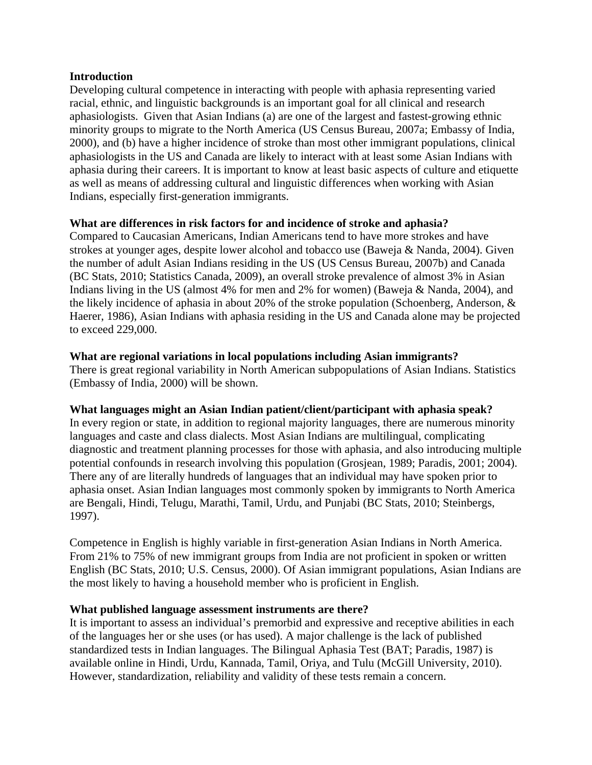#### **Introduction**

Developing cultural competence in interacting with people with aphasia representing varied racial, ethnic, and linguistic backgrounds is an important goal for all clinical and research aphasiologists. Given that Asian Indians (a) are one of the largest and fastest-growing ethnic minority groups to migrate to the North America (US Census Bureau, 2007a; Embassy of India, 2000), and (b) have a higher incidence of stroke than most other immigrant populations, clinical aphasiologists in the US and Canada are likely to interact with at least some Asian Indians with aphasia during their careers. It is important to know at least basic aspects of culture and etiquette as well as means of addressing cultural and linguistic differences when working with Asian Indians, especially first-generation immigrants.

## **What are differences in risk factors for and incidence of stroke and aphasia?**

Compared to Caucasian Americans, Indian Americans tend to have more strokes and have strokes at younger ages, despite lower alcohol and tobacco use (Baweja & Nanda, 2004). Given the number of adult Asian Indians residing in the US (US Census Bureau, 2007b) and Canada (BC Stats, 2010; Statistics Canada, 2009), an overall stroke prevalence of almost 3% in Asian Indians living in the US (almost 4% for men and 2% for women) (Baweja & Nanda, 2004), and the likely incidence of aphasia in about 20% of the stroke population (Schoenberg, Anderson, & Haerer, 1986), Asian Indians with aphasia residing in the US and Canada alone may be projected to exceed 229,000.

#### **What are regional variations in local populations including Asian immigrants?**

There is great regional variability in North American subpopulations of Asian Indians. Statistics (Embassy of India, 2000) will be shown.

## **What languages might an Asian Indian patient/client/participant with aphasia speak?**

In every region or state, in addition to regional majority languages, there are numerous minority languages and caste and class dialects. Most Asian Indians are multilingual, complicating diagnostic and treatment planning processes for those with aphasia, and also introducing multiple potential confounds in research involving this population (Grosjean, 1989; Paradis, 2001; 2004). There any of are literally hundreds of languages that an individual may have spoken prior to aphasia onset. Asian Indian languages most commonly spoken by immigrants to North America are Bengali, Hindi, Telugu, Marathi, Tamil, Urdu, and Punjabi (BC Stats, 2010; Steinbergs, 1997).

Competence in English is highly variable in first-generation Asian Indians in North America. From 21% to 75% of new immigrant groups from India are not proficient in spoken or written English (BC Stats, 2010; U.S. Census, 2000). Of Asian immigrant populations, Asian Indians are the most likely to having a household member who is proficient in English.

## **What published language assessment instruments are there?**

It is important to assess an individual's premorbid and expressive and receptive abilities in each of the languages her or she uses (or has used). A major challenge is the lack of published standardized tests in Indian languages. The Bilingual Aphasia Test (BAT; Paradis, 1987) is available online in Hindi, Urdu, Kannada, Tamil, Oriya, and Tulu (McGill University, 2010). However, standardization, reliability and validity of these tests remain a concern.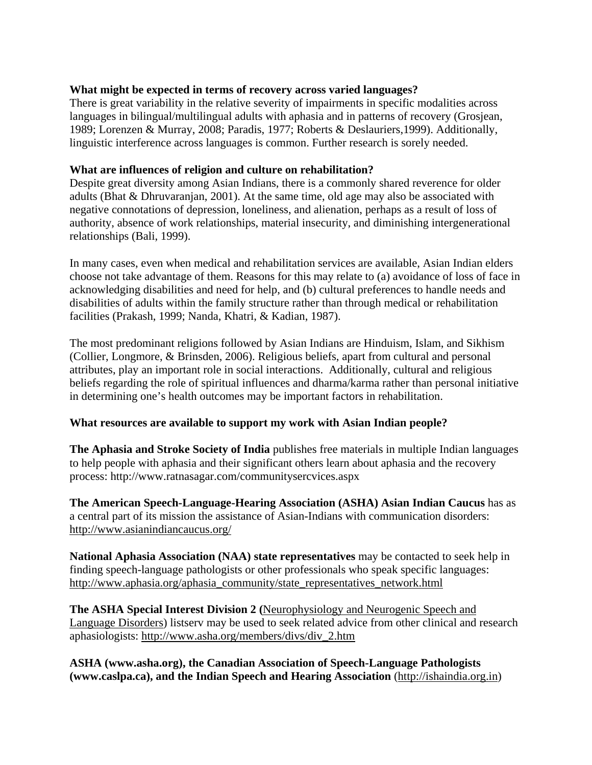## **What might be expected in terms of recovery across varied languages?**

There is great variability in the relative severity of impairments in specific modalities across languages in bilingual/multilingual adults with aphasia and in patterns of recovery (Grosjean, 1989; Lorenzen & Murray, 2008; Paradis, 1977; Roberts & Deslauriers,1999). Additionally, linguistic interference across languages is common. Further research is sorely needed.

## **What are influences of religion and culture on rehabilitation?**

Despite great diversity among Asian Indians, there is a commonly shared reverence for older adults (Bhat & Dhruvaranjan, 2001). At the same time, old age may also be associated with negative connotations of depression, loneliness, and alienation, perhaps as a result of loss of authority, absence of work relationships, material insecurity, and diminishing intergenerational relationships (Bali, 1999).

In many cases, even when medical and rehabilitation services are available, Asian Indian elders choose not take advantage of them. Reasons for this may relate to (a) avoidance of loss of face in acknowledging disabilities and need for help, and (b) cultural preferences to handle needs and disabilities of adults within the family structure rather than through medical or rehabilitation facilities (Prakash, 1999; Nanda, Khatri, & Kadian, 1987).

The most predominant religions followed by Asian Indians are Hinduism, Islam, and Sikhism (Collier, Longmore, & Brinsden, 2006). Religious beliefs, apart from cultural and personal attributes, play an important role in social interactions. Additionally, cultural and religious beliefs regarding the role of spiritual influences and dharma/karma rather than personal initiative in determining one's health outcomes may be important factors in rehabilitation.

## **What resources are available to support my work with Asian Indian people?**

**The Aphasia and Stroke Society of India** publishes free materials in multiple Indian languages to help people with aphasia and their significant others learn about aphasia and the recovery process: http://www.ratnasagar.com/communitysercvices.aspx

**The American Speech-Language-Hearing Association (ASHA) Asian Indian Caucus** has as a central part of its mission the assistance of Asian-Indians with communication disorders: http://www.asianindiancaucus.org/

**National Aphasia Association (NAA) state representatives** may be contacted to seek help in finding speech-language pathologists or other professionals who speak specific languages: http://www.aphasia.org/aphasia\_community/state\_representatives\_network.html

**The ASHA Special Interest Division 2 (**Neurophysiology and Neurogenic Speech and Language Disorders) listserv may be used to seek related advice from other clinical and research aphasiologists: http://www.asha.org/members/divs/div\_2.htm

**ASHA (www.asha.org), the Canadian Association of Speech-Language Pathologists (www.caslpa.ca), and the Indian Speech and Hearing Association** (http://ishaindia.org.in)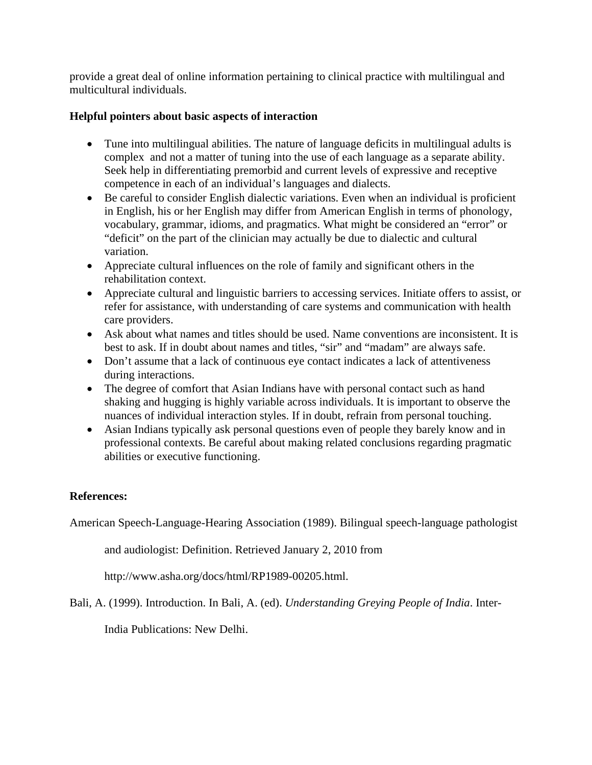provide a great deal of online information pertaining to clinical practice with multilingual and multicultural individuals.

## **Helpful pointers about basic aspects of interaction**

- Tune into multilingual abilities. The nature of language deficits in multilingual adults is complex and not a matter of tuning into the use of each language as a separate ability. Seek help in differentiating premorbid and current levels of expressive and receptive competence in each of an individual's languages and dialects.
- Be careful to consider English dialectic variations. Even when an individual is proficient in English, his or her English may differ from American English in terms of phonology, vocabulary, grammar, idioms, and pragmatics. What might be considered an "error" or "deficit" on the part of the clinician may actually be due to dialectic and cultural variation.
- Appreciate cultural influences on the role of family and significant others in the rehabilitation context.
- Appreciate cultural and linguistic barriers to accessing services. Initiate offers to assist, or refer for assistance, with understanding of care systems and communication with health care providers.
- Ask about what names and titles should be used. Name conventions are inconsistent. It is best to ask. If in doubt about names and titles, "sir" and "madam" are always safe.
- Don't assume that a lack of continuous eye contact indicates a lack of attentiveness during interactions.
- The degree of comfort that Asian Indians have with personal contact such as hand shaking and hugging is highly variable across individuals. It is important to observe the nuances of individual interaction styles. If in doubt, refrain from personal touching.
- Asian Indians typically ask personal questions even of people they barely know and in professional contexts. Be careful about making related conclusions regarding pragmatic abilities or executive functioning.

# **References:**

American Speech-Language-Hearing Association (1989). Bilingual speech-language pathologist

and audiologist: Definition. Retrieved January 2, 2010 from

http://www.asha.org/docs/html/RP1989-00205.html.

Bali, A. (1999). Introduction. In Bali, A. (ed). *Understanding Greying People of India*. Inter-

India Publications: New Delhi.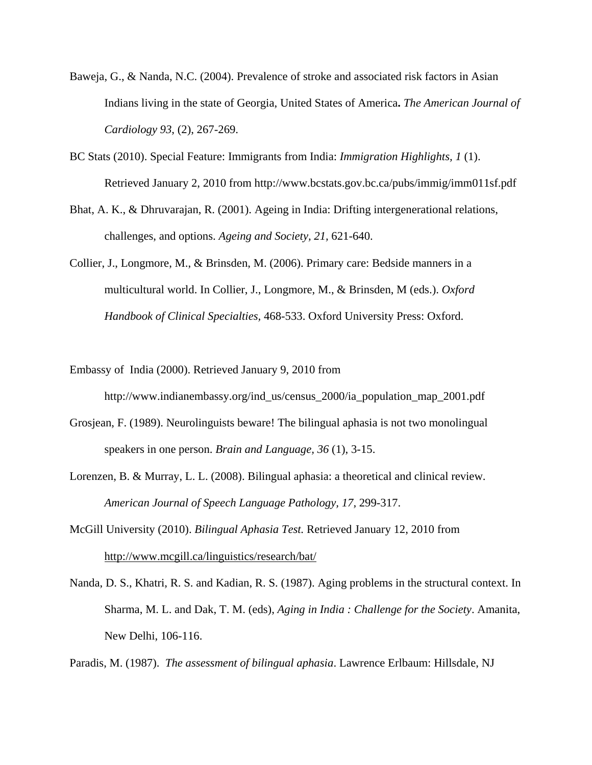- Baweja, G., & Nanda, N.C. (2004). Prevalence of stroke and associated risk factors in Asian Indians living in the state of Georgia, United States of America**.** *The American Journal of Cardiology 93*, (2), 267-269.
- BC Stats (2010). Special Feature: Immigrants from India: *Immigration Highlights, 1* (1). Retrieved January 2, 2010 from http://www.bcstats.gov.bc.ca/pubs/immig/imm011sf.pdf
- Bhat, A. K., & Dhruvarajan, R. (2001). Ageing in India: Drifting intergenerational relations, challenges, and options. *Ageing and Society, 21,* 621-640.
- Collier, J., Longmore, M., & Brinsden, M. (2006). Primary care: Bedside manners in a multicultural world. In Collier, J., Longmore, M., & Brinsden, M (eds.). *Oxford Handbook of Clinical Specialties,* 468-533. Oxford University Press: Oxford.
- Embassy of India (2000). Retrieved January 9, 2010 from http://www.indianembassy.org/ind\_us/census\_2000/ia\_population\_map\_2001.pdf
- Grosjean, F. (1989). Neurolinguists beware! The bilingual aphasia is not two monolingual speakers in one person. *Brain and Language, 36* (1), 3-15.
- Lorenzen, B. & Murray, L. L. (2008). Bilingual aphasia: a theoretical and clinical review. *American Journal of Speech Language Pathology, 17,* 299-317.
- McGill University (2010). *Bilingual Aphasia Test.* Retrieved January 12, 2010 from http://www.mcgill.ca/linguistics/research/bat/
- Nanda, D. S., Khatri, R. S. and Kadian, R. S. (1987). Aging problems in the structural context. In Sharma, M. L. and Dak, T. M. (eds), *Aging in India : Challenge for the Society*. Amanita, New Delhi, 106-116.

Paradis, M. (1987). *The assessment of bilingual aphasia*. Lawrence Erlbaum: Hillsdale, NJ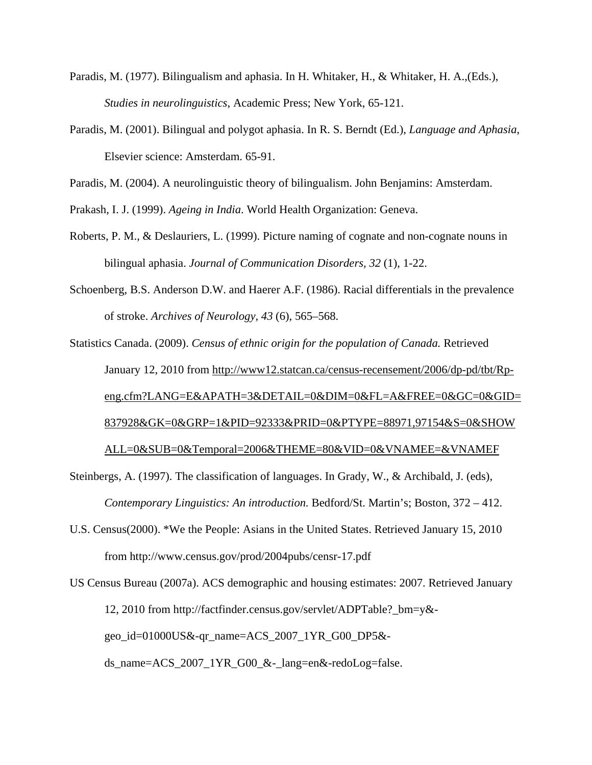- Paradis, M. (1977). Bilingualism and aphasia. In H. Whitaker, H., & Whitaker, H. A.,(Eds.), *Studies in neurolinguistics*, Academic Press; New York, 65-121.
- Paradis, M. (2001). Bilingual and polygot aphasia. In R. S. Berndt (Ed.), *Language and Aphasia*, Elsevier science: Amsterdam. 65-91.

Paradis, M. (2004). A neurolinguistic theory of bilingualism. John Benjamins: Amsterdam.

Prakash, I. J. (1999). *Ageing in India*. World Health Organization: Geneva.

- Roberts, P. M., & Deslauriers, L. (1999). Picture naming of cognate and non-cognate nouns in bilingual aphasia. *Journal of Communication Disorders, 32* (1), 1-22.
- Schoenberg, B.S. Anderson D.W. and Haerer A.F. (1986). Racial differentials in the prevalence of stroke. *Archives of Neurology, 43* (6), 565–568.

Statistics Canada. (2009). *Census of ethnic origin for the population of Canada.* Retrieved January 12, 2010 from http://www12.statcan.ca/census-recensement/2006/dp-pd/tbt/Rpeng.cfm?LANG=E&APATH=3&DETAIL=0&DIM=0&FL=A&FREE=0&GC=0&GID= 837928&GK=0&GRP=1&PID=92333&PRID=0&PTYPE=88971,97154&S=0&SHOW ALL=0&SUB=0&Temporal=2006&THEME=80&VID=0&VNAMEE=&VNAMEF

Steinbergs, A. (1997). The classification of languages. In Grady, W., & Archibald, J. (eds), *Contemporary Linguistics: An introduction.* Bedford/St. Martin's; Boston, 372 – 412.

U.S. Census(2000). \*We the People: Asians in the United States. Retrieved January 15, 2010 from http://www.census.gov/prod/2004pubs/censr-17.pdf

US Census Bureau (2007a). ACS demographic and housing estimates: 2007. Retrieved January 12, 2010 from http://factfinder.census.gov/servlet/ADPTable?\_bm=y& geo\_id=01000US&-qr\_name=ACS\_2007\_1YR\_G00\_DP5& ds\_name=ACS\_2007\_1YR\_G00\_&-\_lang=en&-redoLog=false.